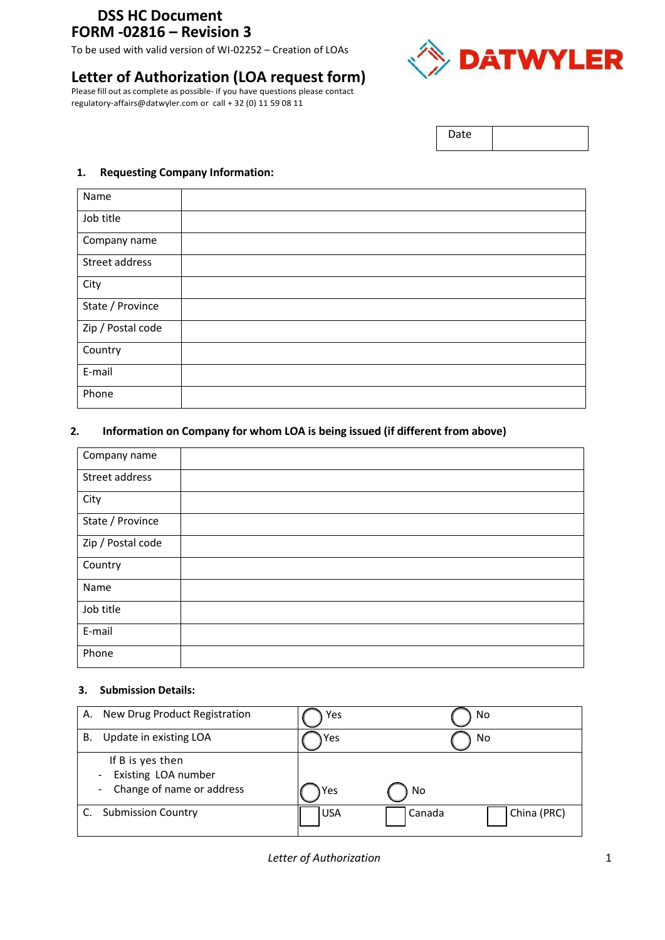# **DSS HC Document FORM -02816 – Revision 3**

To be used with valid version of WI-02252 – Creation of LOAs

# **Letter of Authorization (LOA request form)**

Please fill out as complete as possible‐ if you have questions please contact regulatory-affairs@datwyler.com or call + 32 (0) 11 59 08 11



Date

#### **1. Requesting Company Information:**

| Name              |  |
|-------------------|--|
| Job title         |  |
| Company name      |  |
| Street address    |  |
| City              |  |
| State / Province  |  |
| Zip / Postal code |  |
| Country           |  |
| E-mail            |  |
| Phone             |  |

### **2. Information on Company for whom LOA is being issued (if different from above)**

| Company name      |  |
|-------------------|--|
| Street address    |  |
| City              |  |
| State / Province  |  |
| Zip / Postal code |  |
| Country           |  |
| Name              |  |
| Job title         |  |
| E-mail            |  |
| Phone             |  |

#### **3. Submission Details:**

| New Drug Product Registration<br>А.                                                                                | Yes        | No                    |
|--------------------------------------------------------------------------------------------------------------------|------------|-----------------------|
| Update in existing LOA<br>В.                                                                                       | Yes        | No                    |
| If B is yes then<br>Existing LOA number<br>$\overline{\phantom{a}}$<br>Change of name or address<br>$\blacksquare$ | Yes        | No                    |
| <b>Submission Country</b>                                                                                          | <b>USA</b> | China (PRC)<br>Canada |